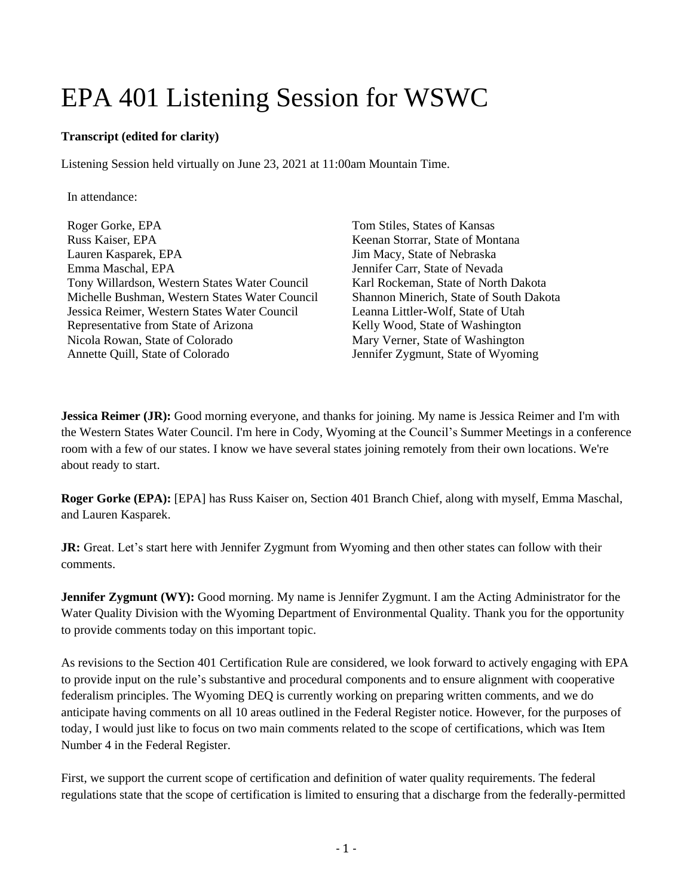## EPA 401 Listening Session for WSWC

## **Transcript (edited for clarity)**

Listening Session held virtually on June 23, 2021 at 11:00am Mountain Time.

In attendance:

Roger Gorke, EPA Russ Kaiser, EPA Lauren Kasparek, EPA Emma Maschal, EPA Tony Willardson, Western States Water Council Michelle Bushman, Western States Water Council Jessica Reimer, Western States Water Council Representative from State of Arizona Nicola Rowan, State of Colorado Annette Quill, State of Colorado

Tom Stiles, States of Kansas Keenan Storrar, State of Montana Jim Macy, State of Nebraska Jennifer Carr, State of Nevada Karl Rockeman, State of North Dakota Shannon Minerich, State of South Dakota Leanna Littler-Wolf, State of Utah Kelly Wood, State of Washington Mary Verner, State of Washington Jennifer Zygmunt, State of Wyoming

**Jessica Reimer (JR):** Good morning everyone, and thanks for joining. My name is Jessica Reimer and I'm with the Western States Water Council. I'm here in Cody, Wyoming at the Council's Summer Meetings in a conference room with a few of our states. I know we have several states joining remotely from their own locations. We're about ready to start.

**Roger Gorke (EPA):** [EPA] has Russ Kaiser on, Section 401 Branch Chief, along with myself, Emma Maschal, and Lauren Kasparek.

**JR:** Great. Let's start here with Jennifer Zygmunt from Wyoming and then other states can follow with their comments.

**Jennifer Zygmunt (WY):** Good morning. My name is Jennifer Zygmunt. I am the Acting Administrator for the Water Quality Division with the Wyoming Department of Environmental Quality. Thank you for the opportunity to provide comments today on this important topic.

As revisions to the Section 401 Certification Rule are considered, we look forward to actively engaging with EPA to provide input on the rule's substantive and procedural components and to ensure alignment with cooperative federalism principles. The Wyoming DEQ is currently working on preparing written comments, and we do anticipate having comments on all 10 areas outlined in the Federal Register notice. However, for the purposes of today, I would just like to focus on two main comments related to the scope of certifications, which was Item Number 4 in the Federal Register.

First, we support the current scope of certification and definition of water quality requirements. The federal regulations state that the scope of certification is limited to ensuring that a discharge from the federally-permitted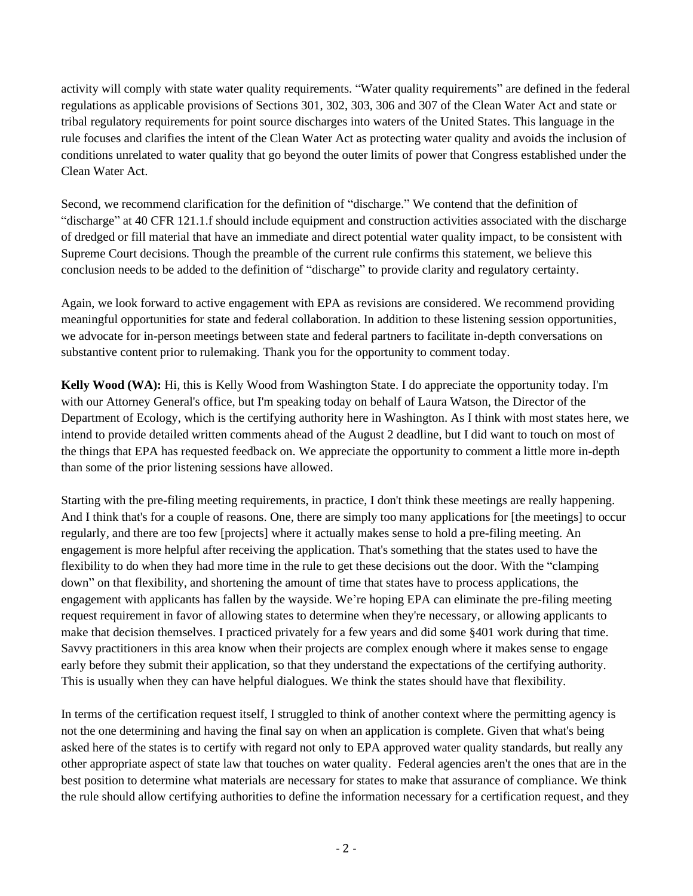activity will comply with state water quality requirements. "Water quality requirements" are defined in the federal regulations as applicable provisions of Sections 301, 302, 303, 306 and 307 of the Clean Water Act and state or tribal regulatory requirements for point source discharges into waters of the United States. This language in the rule focuses and clarifies the intent of the Clean Water Act as protecting water quality and avoids the inclusion of conditions unrelated to water quality that go beyond the outer limits of power that Congress established under the Clean Water Act.

Second, we recommend clarification for the definition of "discharge." We contend that the definition of "discharge" at 40 CFR 121.1.f should include equipment and construction activities associated with the discharge of dredged or fill material that have an immediate and direct potential water quality impact, to be consistent with Supreme Court decisions. Though the preamble of the current rule confirms this statement, we believe this conclusion needs to be added to the definition of "discharge" to provide clarity and regulatory certainty.

Again, we look forward to active engagement with EPA as revisions are considered. We recommend providing meaningful opportunities for state and federal collaboration. In addition to these listening session opportunities, we advocate for in-person meetings between state and federal partners to facilitate in-depth conversations on substantive content prior to rulemaking. Thank you for the opportunity to comment today.

**Kelly Wood (WA):** Hi, this is Kelly Wood from Washington State. I do appreciate the opportunity today. I'm with our Attorney General's office, but I'm speaking today on behalf of Laura Watson, the Director of the Department of Ecology, which is the certifying authority here in Washington. As I think with most states here, we intend to provide detailed written comments ahead of the August 2 deadline, but I did want to touch on most of the things that EPA has requested feedback on. We appreciate the opportunity to comment a little more in-depth than some of the prior listening sessions have allowed.

Starting with the pre-filing meeting requirements, in practice, I don't think these meetings are really happening. And I think that's for a couple of reasons. One, there are simply too many applications for [the meetings] to occur regularly, and there are too few [projects] where it actually makes sense to hold a pre-filing meeting. An engagement is more helpful after receiving the application. That's something that the states used to have the flexibility to do when they had more time in the rule to get these decisions out the door. With the "clamping down" on that flexibility, and shortening the amount of time that states have to process applications, the engagement with applicants has fallen by the wayside. We're hoping EPA can eliminate the pre-filing meeting request requirement in favor of allowing states to determine when they're necessary, or allowing applicants to make that decision themselves. I practiced privately for a few years and did some §401 work during that time. Savvy practitioners in this area know when their projects are complex enough where it makes sense to engage early before they submit their application, so that they understand the expectations of the certifying authority. This is usually when they can have helpful dialogues. We think the states should have that flexibility.

In terms of the certification request itself, I struggled to think of another context where the permitting agency is not the one determining and having the final say on when an application is complete. Given that what's being asked here of the states is to certify with regard not only to EPA approved water quality standards, but really any other appropriate aspect of state law that touches on water quality. Federal agencies aren't the ones that are in the best position to determine what materials are necessary for states to make that assurance of compliance. We think the rule should allow certifying authorities to define the information necessary for a certification request, and they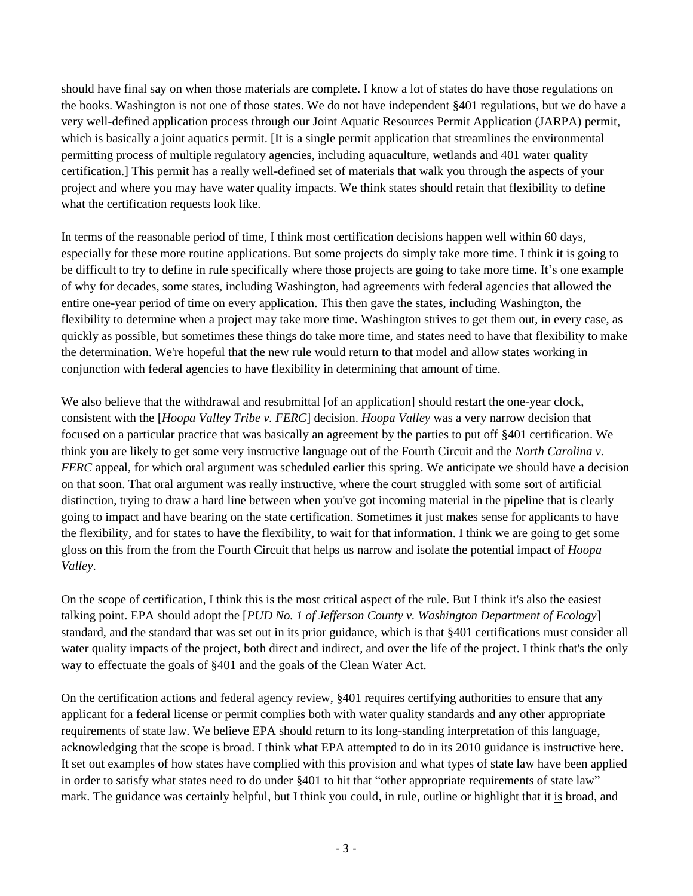should have final say on when those materials are complete. I know a lot of states do have those regulations on the books. Washington is not one of those states. We do not have independent §401 regulations, but we do have a very well-defined application process through our Joint Aquatic Resources Permit Application (JARPA) permit, which is basically a joint aquatics permit. [It is a single permit application that streamlines the environmental permitting process of multiple regulatory agencies, including aquaculture, wetlands and 401 water quality certification.] This permit has a really well-defined set of materials that walk you through the aspects of your project and where you may have water quality impacts. We think states should retain that flexibility to define what the certification requests look like.

In terms of the reasonable period of time, I think most certification decisions happen well within 60 days, especially for these more routine applications. But some projects do simply take more time. I think it is going to be difficult to try to define in rule specifically where those projects are going to take more time. It's one example of why for decades, some states, including Washington, had agreements with federal agencies that allowed the entire one-year period of time on every application. This then gave the states, including Washington, the flexibility to determine when a project may take more time. Washington strives to get them out, in every case, as quickly as possible, but sometimes these things do take more time, and states need to have that flexibility to make the determination. We're hopeful that the new rule would return to that model and allow states working in conjunction with federal agencies to have flexibility in determining that amount of time.

We also believe that the withdrawal and resubmittal [of an application] should restart the one-year clock, consistent with the [*Hoopa Valley Tribe v. FERC*] decision. *Hoopa Valley* was a very narrow decision that focused on a particular practice that was basically an agreement by the parties to put off §401 certification. We think you are likely to get some very instructive language out of the Fourth Circuit and the *North Carolina v. FERC* appeal, for which oral argument was scheduled earlier this spring. We anticipate we should have a decision on that soon. That oral argument was really instructive, where the court struggled with some sort of artificial distinction, trying to draw a hard line between when you've got incoming material in the pipeline that is clearly going to impact and have bearing on the state certification. Sometimes it just makes sense for applicants to have the flexibility, and for states to have the flexibility, to wait for that information. I think we are going to get some gloss on this from the from the Fourth Circuit that helps us narrow and isolate the potential impact of *Hoopa Valley*.

On the scope of certification, I think this is the most critical aspect of the rule. But I think it's also the easiest talking point. EPA should adopt the [*PUD No. 1 of Jefferson County v. Washington Department of Ecology*] standard, and the standard that was set out in its prior guidance, which is that §401 certifications must consider all water quality impacts of the project, both direct and indirect, and over the life of the project. I think that's the only way to effectuate the goals of §401 and the goals of the Clean Water Act.

On the certification actions and federal agency review, §401 requires certifying authorities to ensure that any applicant for a federal license or permit complies both with water quality standards and any other appropriate requirements of state law. We believe EPA should return to its long-standing interpretation of this language, acknowledging that the scope is broad. I think what EPA attempted to do in its 2010 guidance is instructive here. It set out examples of how states have complied with this provision and what types of state law have been applied in order to satisfy what states need to do under §401 to hit that "other appropriate requirements of state law" mark. The guidance was certainly helpful, but I think you could, in rule, outline or highlight that it is broad, and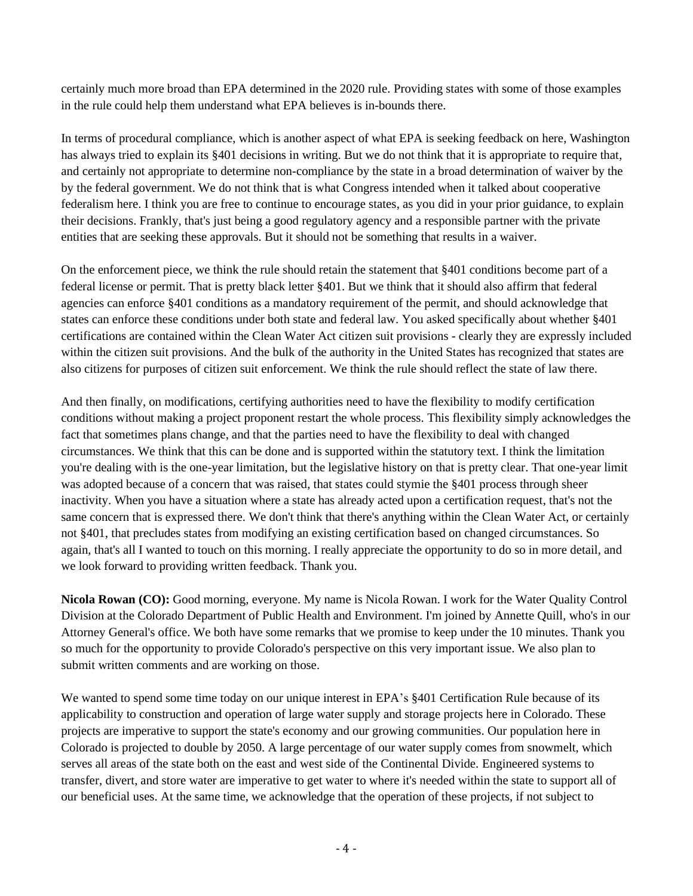certainly much more broad than EPA determined in the 2020 rule. Providing states with some of those examples in the rule could help them understand what EPA believes is in-bounds there.

In terms of procedural compliance, which is another aspect of what EPA is seeking feedback on here, Washington has always tried to explain its §401 decisions in writing. But we do not think that it is appropriate to require that, and certainly not appropriate to determine non-compliance by the state in a broad determination of waiver by the by the federal government. We do not think that is what Congress intended when it talked about cooperative federalism here. I think you are free to continue to encourage states, as you did in your prior guidance, to explain their decisions. Frankly, that's just being a good regulatory agency and a responsible partner with the private entities that are seeking these approvals. But it should not be something that results in a waiver.

On the enforcement piece, we think the rule should retain the statement that §401 conditions become part of a federal license or permit. That is pretty black letter §401. But we think that it should also affirm that federal agencies can enforce §401 conditions as a mandatory requirement of the permit, and should acknowledge that states can enforce these conditions under both state and federal law. You asked specifically about whether §401 certifications are contained within the Clean Water Act citizen suit provisions - clearly they are expressly included within the citizen suit provisions. And the bulk of the authority in the United States has recognized that states are also citizens for purposes of citizen suit enforcement. We think the rule should reflect the state of law there.

And then finally, on modifications, certifying authorities need to have the flexibility to modify certification conditions without making a project proponent restart the whole process. This flexibility simply acknowledges the fact that sometimes plans change, and that the parties need to have the flexibility to deal with changed circumstances. We think that this can be done and is supported within the statutory text. I think the limitation you're dealing with is the one-year limitation, but the legislative history on that is pretty clear. That one-year limit was adopted because of a concern that was raised, that states could stymie the §401 process through sheer inactivity. When you have a situation where a state has already acted upon a certification request, that's not the same concern that is expressed there. We don't think that there's anything within the Clean Water Act, or certainly not §401, that precludes states from modifying an existing certification based on changed circumstances. So again, that's all I wanted to touch on this morning. I really appreciate the opportunity to do so in more detail, and we look forward to providing written feedback. Thank you.

**Nicola Rowan (CO):** Good morning, everyone. My name is Nicola Rowan. I work for the Water Quality Control Division at the Colorado Department of Public Health and Environment. I'm joined by Annette Quill, who's in our Attorney General's office. We both have some remarks that we promise to keep under the 10 minutes. Thank you so much for the opportunity to provide Colorado's perspective on this very important issue. We also plan to submit written comments and are working on those.

We wanted to spend some time today on our unique interest in EPA's §401 Certification Rule because of its applicability to construction and operation of large water supply and storage projects here in Colorado. These projects are imperative to support the state's economy and our growing communities. Our population here in Colorado is projected to double by 2050. A large percentage of our water supply comes from snowmelt, which serves all areas of the state both on the east and west side of the Continental Divide. Engineered systems to transfer, divert, and store water are imperative to get water to where it's needed within the state to support all of our beneficial uses. At the same time, we acknowledge that the operation of these projects, if not subject to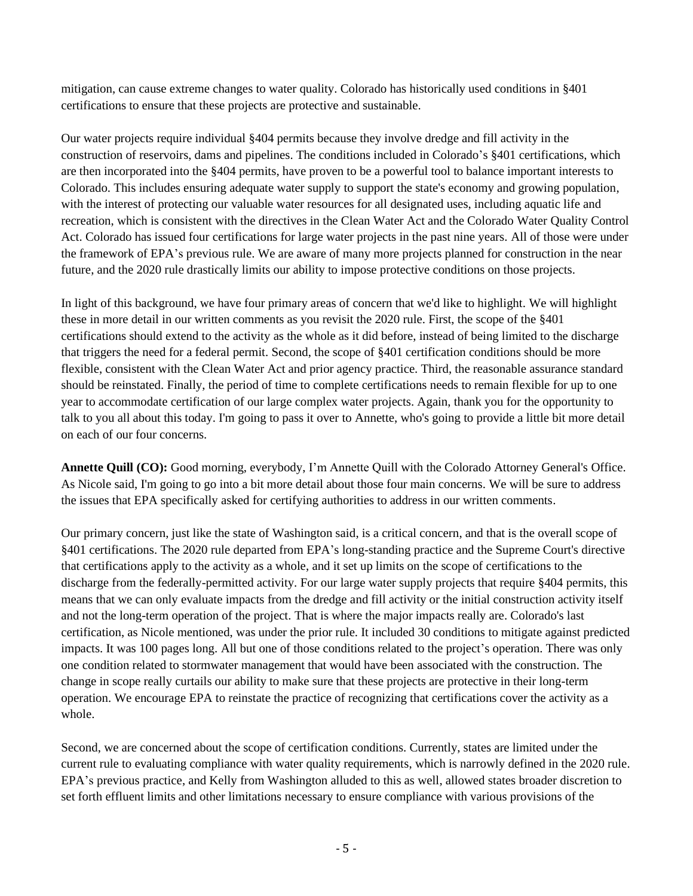mitigation, can cause extreme changes to water quality. Colorado has historically used conditions in §401 certifications to ensure that these projects are protective and sustainable.

Our water projects require individual §404 permits because they involve dredge and fill activity in the construction of reservoirs, dams and pipelines. The conditions included in Colorado's §401 certifications, which are then incorporated into the §404 permits, have proven to be a powerful tool to balance important interests to Colorado. This includes ensuring adequate water supply to support the state's economy and growing population, with the interest of protecting our valuable water resources for all designated uses, including aquatic life and recreation, which is consistent with the directives in the Clean Water Act and the Colorado Water Quality Control Act. Colorado has issued four certifications for large water projects in the past nine years. All of those were under the framework of EPA's previous rule. We are aware of many more projects planned for construction in the near future, and the 2020 rule drastically limits our ability to impose protective conditions on those projects.

In light of this background, we have four primary areas of concern that we'd like to highlight. We will highlight these in more detail in our written comments as you revisit the 2020 rule. First, the scope of the §401 certifications should extend to the activity as the whole as it did before, instead of being limited to the discharge that triggers the need for a federal permit. Second, the scope of §401 certification conditions should be more flexible, consistent with the Clean Water Act and prior agency practice. Third, the reasonable assurance standard should be reinstated. Finally, the period of time to complete certifications needs to remain flexible for up to one year to accommodate certification of our large complex water projects. Again, thank you for the opportunity to talk to you all about this today. I'm going to pass it over to Annette, who's going to provide a little bit more detail on each of our four concerns.

**Annette Quill (CO):** Good morning, everybody, I'm Annette Quill with the Colorado Attorney General's Office. As Nicole said, I'm going to go into a bit more detail about those four main concerns. We will be sure to address the issues that EPA specifically asked for certifying authorities to address in our written comments.

Our primary concern, just like the state of Washington said, is a critical concern, and that is the overall scope of §401 certifications. The 2020 rule departed from EPA's long-standing practice and the Supreme Court's directive that certifications apply to the activity as a whole, and it set up limits on the scope of certifications to the discharge from the federally-permitted activity. For our large water supply projects that require §404 permits, this means that we can only evaluate impacts from the dredge and fill activity or the initial construction activity itself and not the long-term operation of the project. That is where the major impacts really are. Colorado's last certification, as Nicole mentioned, was under the prior rule. It included 30 conditions to mitigate against predicted impacts. It was 100 pages long. All but one of those conditions related to the project's operation. There was only one condition related to stormwater management that would have been associated with the construction. The change in scope really curtails our ability to make sure that these projects are protective in their long-term operation. We encourage EPA to reinstate the practice of recognizing that certifications cover the activity as a whole.

Second, we are concerned about the scope of certification conditions. Currently, states are limited under the current rule to evaluating compliance with water quality requirements, which is narrowly defined in the 2020 rule. EPA's previous practice, and Kelly from Washington alluded to this as well, allowed states broader discretion to set forth effluent limits and other limitations necessary to ensure compliance with various provisions of the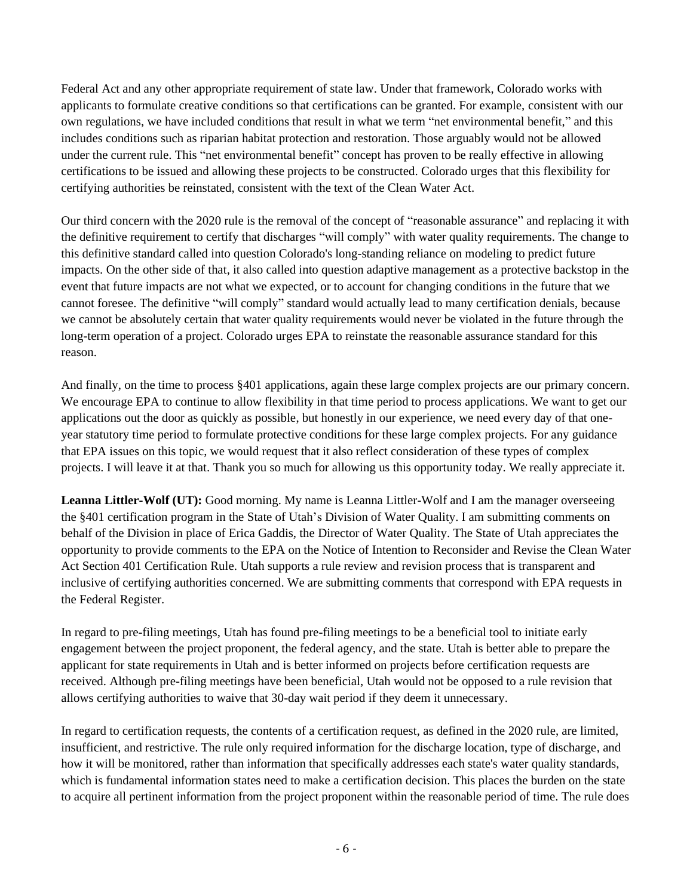Federal Act and any other appropriate requirement of state law. Under that framework, Colorado works with applicants to formulate creative conditions so that certifications can be granted. For example, consistent with our own regulations, we have included conditions that result in what we term "net environmental benefit," and this includes conditions such as riparian habitat protection and restoration. Those arguably would not be allowed under the current rule. This "net environmental benefit" concept has proven to be really effective in allowing certifications to be issued and allowing these projects to be constructed. Colorado urges that this flexibility for certifying authorities be reinstated, consistent with the text of the Clean Water Act.

Our third concern with the 2020 rule is the removal of the concept of "reasonable assurance" and replacing it with the definitive requirement to certify that discharges "will comply" with water quality requirements. The change to this definitive standard called into question Colorado's long-standing reliance on modeling to predict future impacts. On the other side of that, it also called into question adaptive management as a protective backstop in the event that future impacts are not what we expected, or to account for changing conditions in the future that we cannot foresee. The definitive "will comply" standard would actually lead to many certification denials, because we cannot be absolutely certain that water quality requirements would never be violated in the future through the long-term operation of a project. Colorado urges EPA to reinstate the reasonable assurance standard for this reason.

And finally, on the time to process §401 applications, again these large complex projects are our primary concern. We encourage EPA to continue to allow flexibility in that time period to process applications. We want to get our applications out the door as quickly as possible, but honestly in our experience, we need every day of that oneyear statutory time period to formulate protective conditions for these large complex projects. For any guidance that EPA issues on this topic, we would request that it also reflect consideration of these types of complex projects. I will leave it at that. Thank you so much for allowing us this opportunity today. We really appreciate it.

**Leanna Littler-Wolf (UT):** Good morning. My name is Leanna Littler-Wolf and I am the manager overseeing the §401 certification program in the State of Utah's Division of Water Quality. I am submitting comments on behalf of the Division in place of Erica Gaddis, the Director of Water Quality. The State of Utah appreciates the opportunity to provide comments to the EPA on the Notice of Intention to Reconsider and Revise the Clean Water Act Section 401 Certification Rule. Utah supports a rule review and revision process that is transparent and inclusive of certifying authorities concerned. We are submitting comments that correspond with EPA requests in the Federal Register.

In regard to pre-filing meetings, Utah has found pre-filing meetings to be a beneficial tool to initiate early engagement between the project proponent, the federal agency, and the state. Utah is better able to prepare the applicant for state requirements in Utah and is better informed on projects before certification requests are received. Although pre-filing meetings have been beneficial, Utah would not be opposed to a rule revision that allows certifying authorities to waive that 30-day wait period if they deem it unnecessary.

In regard to certification requests, the contents of a certification request, as defined in the 2020 rule, are limited, insufficient, and restrictive. The rule only required information for the discharge location, type of discharge, and how it will be monitored, rather than information that specifically addresses each state's water quality standards, which is fundamental information states need to make a certification decision. This places the burden on the state to acquire all pertinent information from the project proponent within the reasonable period of time. The rule does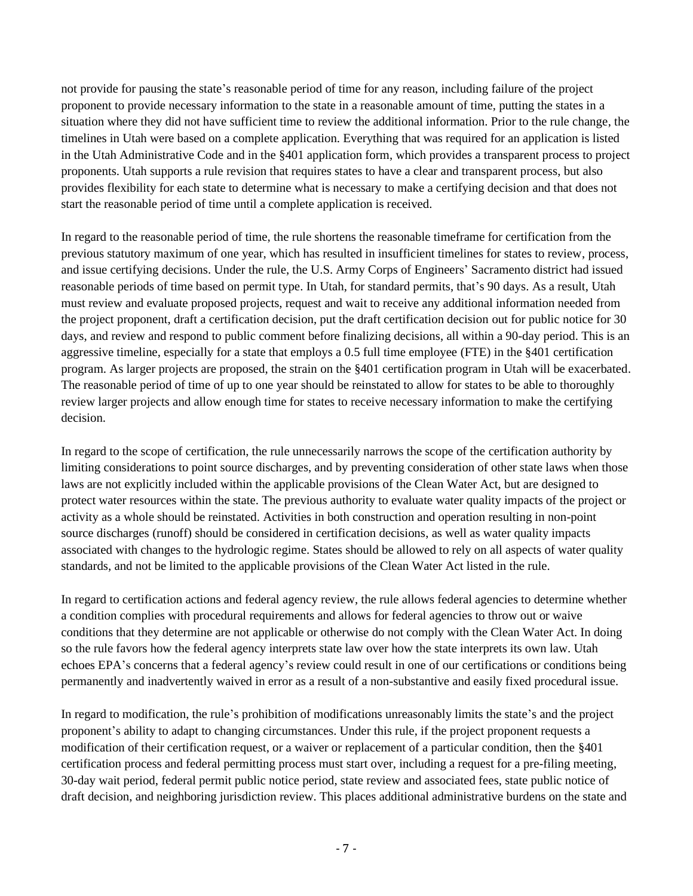not provide for pausing the state's reasonable period of time for any reason, including failure of the project proponent to provide necessary information to the state in a reasonable amount of time, putting the states in a situation where they did not have sufficient time to review the additional information. Prior to the rule change, the timelines in Utah were based on a complete application. Everything that was required for an application is listed in the Utah Administrative Code and in the §401 application form, which provides a transparent process to project proponents. Utah supports a rule revision that requires states to have a clear and transparent process, but also provides flexibility for each state to determine what is necessary to make a certifying decision and that does not start the reasonable period of time until a complete application is received.

In regard to the reasonable period of time, the rule shortens the reasonable timeframe for certification from the previous statutory maximum of one year, which has resulted in insufficient timelines for states to review, process, and issue certifying decisions. Under the rule, the U.S. Army Corps of Engineers' Sacramento district had issued reasonable periods of time based on permit type. In Utah, for standard permits, that's 90 days. As a result, Utah must review and evaluate proposed projects, request and wait to receive any additional information needed from the project proponent, draft a certification decision, put the draft certification decision out for public notice for 30 days, and review and respond to public comment before finalizing decisions, all within a 90-day period. This is an aggressive timeline, especially for a state that employs a 0.5 full time employee (FTE) in the §401 certification program. As larger projects are proposed, the strain on the §401 certification program in Utah will be exacerbated. The reasonable period of time of up to one year should be reinstated to allow for states to be able to thoroughly review larger projects and allow enough time for states to receive necessary information to make the certifying decision.

In regard to the scope of certification, the rule unnecessarily narrows the scope of the certification authority by limiting considerations to point source discharges, and by preventing consideration of other state laws when those laws are not explicitly included within the applicable provisions of the Clean Water Act, but are designed to protect water resources within the state. The previous authority to evaluate water quality impacts of the project or activity as a whole should be reinstated. Activities in both construction and operation resulting in non-point source discharges (runoff) should be considered in certification decisions, as well as water quality impacts associated with changes to the hydrologic regime. States should be allowed to rely on all aspects of water quality standards, and not be limited to the applicable provisions of the Clean Water Act listed in the rule.

In regard to certification actions and federal agency review, the rule allows federal agencies to determine whether a condition complies with procedural requirements and allows for federal agencies to throw out or waive conditions that they determine are not applicable or otherwise do not comply with the Clean Water Act. In doing so the rule favors how the federal agency interprets state law over how the state interprets its own law. Utah echoes EPA's concerns that a federal agency's review could result in one of our certifications or conditions being permanently and inadvertently waived in error as a result of a non-substantive and easily fixed procedural issue.

In regard to modification, the rule's prohibition of modifications unreasonably limits the state's and the project proponent's ability to adapt to changing circumstances. Under this rule, if the project proponent requests a modification of their certification request, or a waiver or replacement of a particular condition, then the §401 certification process and federal permitting process must start over, including a request for a pre-filing meeting, 30-day wait period, federal permit public notice period, state review and associated fees, state public notice of draft decision, and neighboring jurisdiction review. This places additional administrative burdens on the state and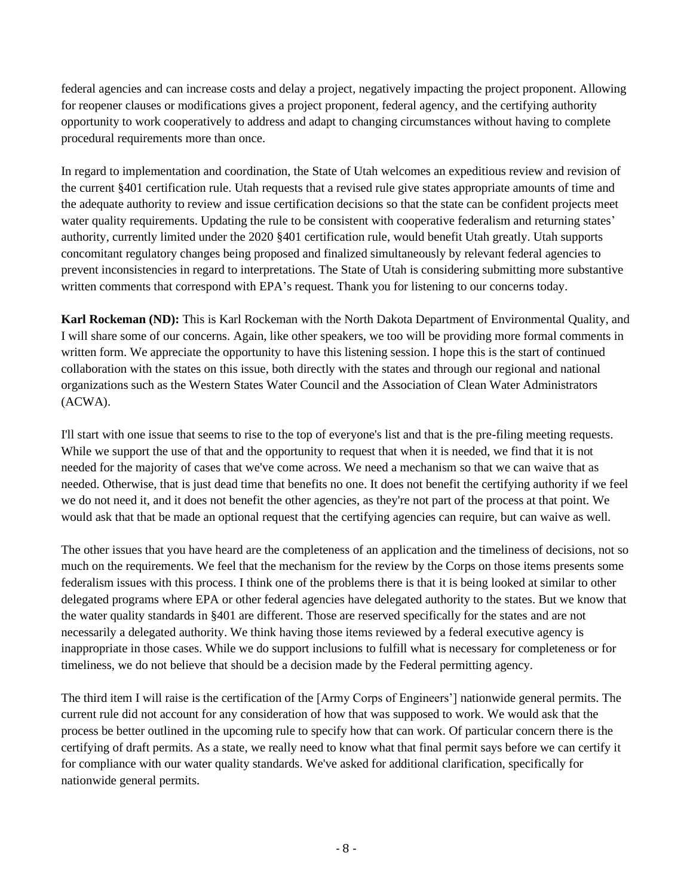federal agencies and can increase costs and delay a project, negatively impacting the project proponent. Allowing for reopener clauses or modifications gives a project proponent, federal agency, and the certifying authority opportunity to work cooperatively to address and adapt to changing circumstances without having to complete procedural requirements more than once.

In regard to implementation and coordination, the State of Utah welcomes an expeditious review and revision of the current §401 certification rule. Utah requests that a revised rule give states appropriate amounts of time and the adequate authority to review and issue certification decisions so that the state can be confident projects meet water quality requirements. Updating the rule to be consistent with cooperative federalism and returning states' authority, currently limited under the 2020 §401 certification rule, would benefit Utah greatly. Utah supports concomitant regulatory changes being proposed and finalized simultaneously by relevant federal agencies to prevent inconsistencies in regard to interpretations. The State of Utah is considering submitting more substantive written comments that correspond with EPA's request. Thank you for listening to our concerns today.

**Karl Rockeman (ND):** This is Karl Rockeman with the North Dakota Department of Environmental Quality, and I will share some of our concerns. Again, like other speakers, we too will be providing more formal comments in written form. We appreciate the opportunity to have this listening session. I hope this is the start of continued collaboration with the states on this issue, both directly with the states and through our regional and national organizations such as the Western States Water Council and the Association of Clean Water Administrators (ACWA).

I'll start with one issue that seems to rise to the top of everyone's list and that is the pre-filing meeting requests. While we support the use of that and the opportunity to request that when it is needed, we find that it is not needed for the majority of cases that we've come across. We need a mechanism so that we can waive that as needed. Otherwise, that is just dead time that benefits no one. It does not benefit the certifying authority if we feel we do not need it, and it does not benefit the other agencies, as they're not part of the process at that point. We would ask that that be made an optional request that the certifying agencies can require, but can waive as well.

The other issues that you have heard are the completeness of an application and the timeliness of decisions, not so much on the requirements. We feel that the mechanism for the review by the Corps on those items presents some federalism issues with this process. I think one of the problems there is that it is being looked at similar to other delegated programs where EPA or other federal agencies have delegated authority to the states. But we know that the water quality standards in §401 are different. Those are reserved specifically for the states and are not necessarily a delegated authority. We think having those items reviewed by a federal executive agency is inappropriate in those cases. While we do support inclusions to fulfill what is necessary for completeness or for timeliness, we do not believe that should be a decision made by the Federal permitting agency.

The third item I will raise is the certification of the [Army Corps of Engineers'] nationwide general permits. The current rule did not account for any consideration of how that was supposed to work. We would ask that the process be better outlined in the upcoming rule to specify how that can work. Of particular concern there is the certifying of draft permits. As a state, we really need to know what that final permit says before we can certify it for compliance with our water quality standards. We've asked for additional clarification, specifically for nationwide general permits.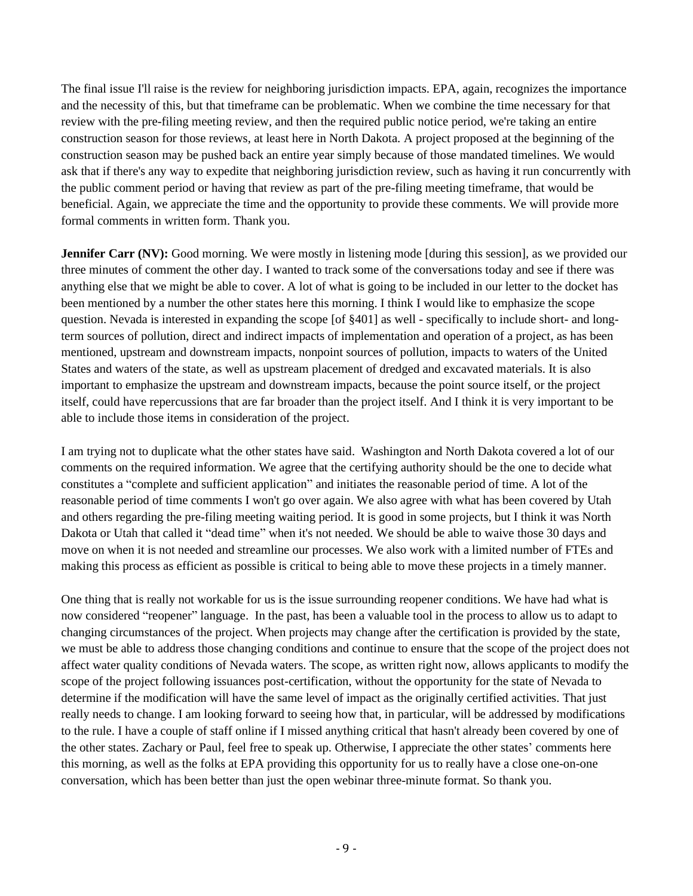The final issue I'll raise is the review for neighboring jurisdiction impacts. EPA, again, recognizes the importance and the necessity of this, but that timeframe can be problematic. When we combine the time necessary for that review with the pre-filing meeting review, and then the required public notice period, we're taking an entire construction season for those reviews, at least here in North Dakota. A project proposed at the beginning of the construction season may be pushed back an entire year simply because of those mandated timelines. We would ask that if there's any way to expedite that neighboring jurisdiction review, such as having it run concurrently with the public comment period or having that review as part of the pre-filing meeting timeframe, that would be beneficial. Again, we appreciate the time and the opportunity to provide these comments. We will provide more formal comments in written form. Thank you.

**Jennifer Carr (NV):** Good morning. We were mostly in listening mode [during this session], as we provided our three minutes of comment the other day. I wanted to track some of the conversations today and see if there was anything else that we might be able to cover. A lot of what is going to be included in our letter to the docket has been mentioned by a number the other states here this morning. I think I would like to emphasize the scope question. Nevada is interested in expanding the scope [of §401] as well - specifically to include short- and longterm sources of pollution, direct and indirect impacts of implementation and operation of a project, as has been mentioned, upstream and downstream impacts, nonpoint sources of pollution, impacts to waters of the United States and waters of the state, as well as upstream placement of dredged and excavated materials. It is also important to emphasize the upstream and downstream impacts, because the point source itself, or the project itself, could have repercussions that are far broader than the project itself. And I think it is very important to be able to include those items in consideration of the project.

I am trying not to duplicate what the other states have said. Washington and North Dakota covered a lot of our comments on the required information. We agree that the certifying authority should be the one to decide what constitutes a "complete and sufficient application" and initiates the reasonable period of time. A lot of the reasonable period of time comments I won't go over again. We also agree with what has been covered by Utah and others regarding the pre-filing meeting waiting period. It is good in some projects, but I think it was North Dakota or Utah that called it "dead time" when it's not needed. We should be able to waive those 30 days and move on when it is not needed and streamline our processes. We also work with a limited number of FTEs and making this process as efficient as possible is critical to being able to move these projects in a timely manner.

One thing that is really not workable for us is the issue surrounding reopener conditions. We have had what is now considered "reopener" language. In the past, has been a valuable tool in the process to allow us to adapt to changing circumstances of the project. When projects may change after the certification is provided by the state, we must be able to address those changing conditions and continue to ensure that the scope of the project does not affect water quality conditions of Nevada waters. The scope, as written right now, allows applicants to modify the scope of the project following issuances post-certification, without the opportunity for the state of Nevada to determine if the modification will have the same level of impact as the originally certified activities. That just really needs to change. I am looking forward to seeing how that, in particular, will be addressed by modifications to the rule. I have a couple of staff online if I missed anything critical that hasn't already been covered by one of the other states. Zachary or Paul, feel free to speak up. Otherwise, I appreciate the other states' comments here this morning, as well as the folks at EPA providing this opportunity for us to really have a close one-on-one conversation, which has been better than just the open webinar three-minute format. So thank you.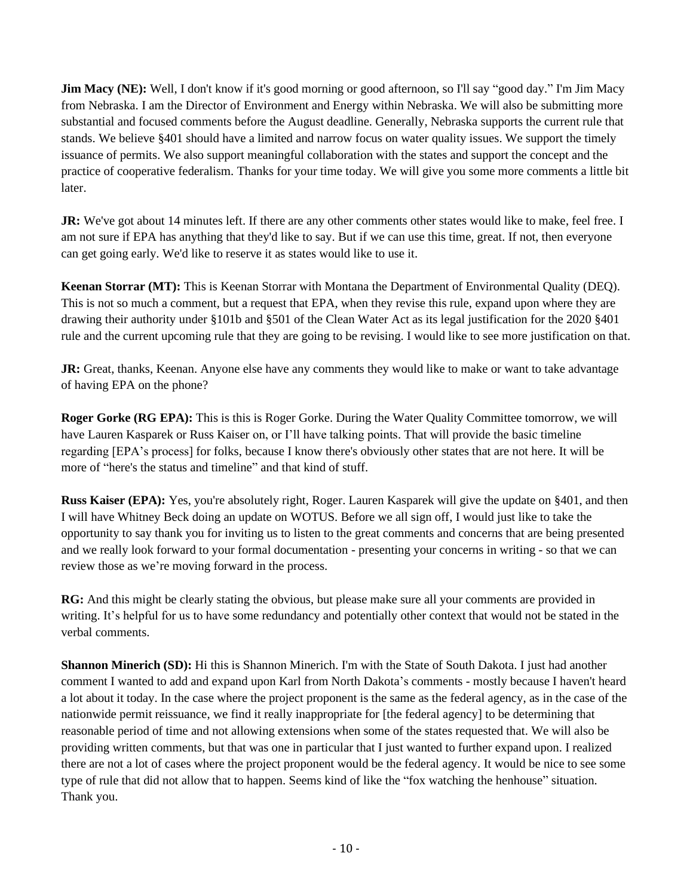**Jim Macy (NE):** Well, I don't know if it's good morning or good afternoon, so I'll say "good day." I'm Jim Macy from Nebraska. I am the Director of Environment and Energy within Nebraska. We will also be submitting more substantial and focused comments before the August deadline. Generally, Nebraska supports the current rule that stands. We believe §401 should have a limited and narrow focus on water quality issues. We support the timely issuance of permits. We also support meaningful collaboration with the states and support the concept and the practice of cooperative federalism. Thanks for your time today. We will give you some more comments a little bit later.

**JR:** We've got about 14 minutes left. If there are any other comments other states would like to make, feel free. I am not sure if EPA has anything that they'd like to say. But if we can use this time, great. If not, then everyone can get going early. We'd like to reserve it as states would like to use it.

**Keenan Storrar (MT):** This is Keenan Storrar with Montana the Department of Environmental Quality (DEQ). This is not so much a comment, but a request that EPA, when they revise this rule, expand upon where they are drawing their authority under §101b and §501 of the Clean Water Act as its legal justification for the 2020 §401 rule and the current upcoming rule that they are going to be revising. I would like to see more justification on that.

**JR:** Great, thanks, Keenan. Anyone else have any comments they would like to make or want to take advantage of having EPA on the phone?

**Roger Gorke (RG EPA):** This is this is Roger Gorke. During the Water Quality Committee tomorrow, we will have Lauren Kasparek or Russ Kaiser on, or I'll have talking points. That will provide the basic timeline regarding [EPA's process] for folks, because I know there's obviously other states that are not here. It will be more of "here's the status and timeline" and that kind of stuff.

**Russ Kaiser (EPA):** Yes, you're absolutely right, Roger. Lauren Kasparek will give the update on §401, and then I will have Whitney Beck doing an update on WOTUS. Before we all sign off, I would just like to take the opportunity to say thank you for inviting us to listen to the great comments and concerns that are being presented and we really look forward to your formal documentation - presenting your concerns in writing - so that we can review those as we're moving forward in the process.

**RG:** And this might be clearly stating the obvious, but please make sure all your comments are provided in writing. It's helpful for us to have some redundancy and potentially other context that would not be stated in the verbal comments.

**Shannon Minerich (SD):** Hi this is Shannon Minerich. I'm with the State of South Dakota. I just had another comment I wanted to add and expand upon Karl from North Dakota's comments - mostly because I haven't heard a lot about it today. In the case where the project proponent is the same as the federal agency, as in the case of the nationwide permit reissuance, we find it really inappropriate for [the federal agency] to be determining that reasonable period of time and not allowing extensions when some of the states requested that. We will also be providing written comments, but that was one in particular that I just wanted to further expand upon. I realized there are not a lot of cases where the project proponent would be the federal agency. It would be nice to see some type of rule that did not allow that to happen. Seems kind of like the "fox watching the henhouse" situation. Thank you.